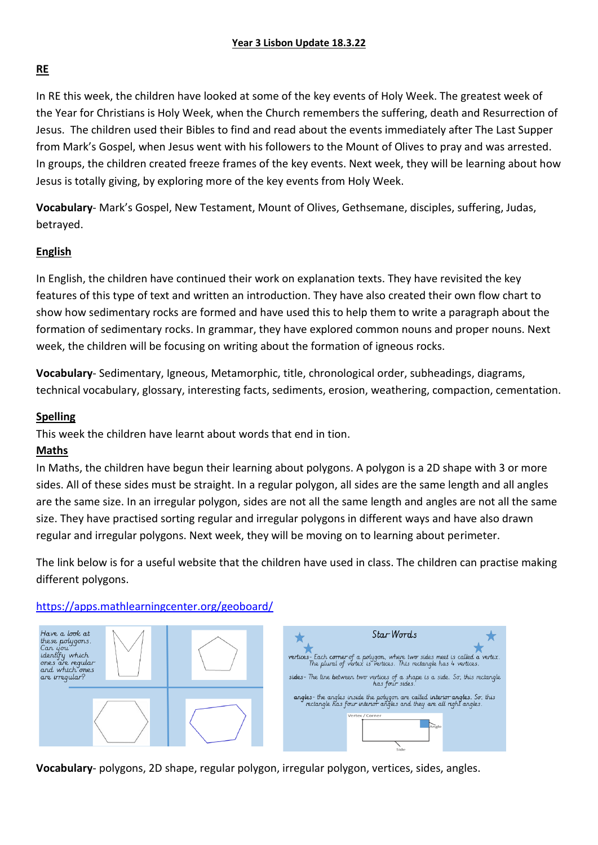### **RE**

In RE this week, the children have looked at some of the key events of Holy Week. The greatest week of the Year for Christians is Holy Week, when the Church remembers the suffering, death and Resurrection of Jesus. The children used their Bibles to find and read about the events immediately after The Last Supper from Mark's Gospel, when Jesus went with his followers to the Mount of Olives to pray and was arrested. In groups, the children created freeze frames of the key events. Next week, they will be learning about how Jesus is totally giving, by exploring more of the key events from Holy Week.

**Vocabulary**- Mark's Gospel, New Testament, Mount of Olives, Gethsemane, disciples, suffering, Judas, betrayed.

#### **English**

In English, the children have continued their work on explanation texts. They have revisited the key features of this type of text and written an introduction. They have also created their own flow chart to show how sedimentary rocks are formed and have used this to help them to write a paragraph about the formation of sedimentary rocks. In grammar, they have explored common nouns and proper nouns. Next week, the children will be focusing on writing about the formation of igneous rocks.

**Vocabulary**- Sedimentary, Igneous, Metamorphic, title, chronological order, subheadings, diagrams, technical vocabulary, glossary, interesting facts, sediments, erosion, weathering, compaction, cementation.

#### **Spelling**

This week the children have learnt about words that end in tion.

#### **Maths**

In Maths, the children have begun their learning about polygons. A polygon is a 2D shape with 3 or more sides. All of these sides must be straight. In a regular polygon, all sides are the same length and all angles are the same size. In an irregular polygon, sides are not all the same length and angles are not all the same size. They have practised sorting regular and irregular polygons in different ways and have also drawn regular and irregular polygons. Next week, they will be moving on to learning about perimeter.

The link below is for a useful website that the children have used in class. The children can practise making different polygons.

#### <https://apps.mathlearningcenter.org/geoboard/>





**Vocabulary**- polygons, 2D shape, regular polygon, irregular polygon, vertices, sides, angles.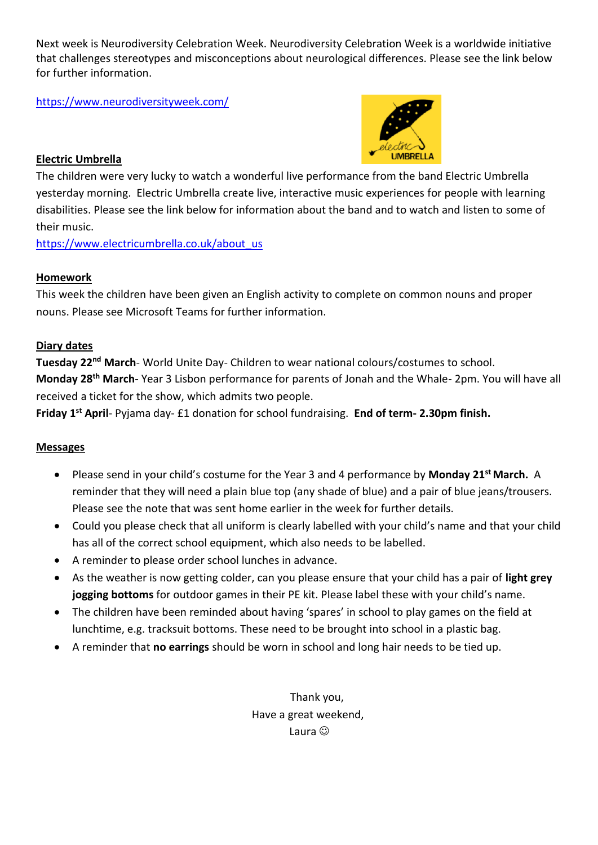Next week is Neurodiversity Celebration Week. Neurodiversity Celebration Week is a worldwide initiative that challenges stereotypes and misconceptions about neurological differences. Please see the link below for further information.

<https://www.neurodiversityweek.com/>



### **Electric Umbrella**

The children were very lucky to watch a wonderful live performance from the band Electric Umbrella yesterday morning. Electric Umbrella create live, interactive music experiences for people with learning disabilities. Please see the link below for information about the band and to watch and listen to some of their music.

[https://www.electricumbrella.co.uk/about\\_us](https://www.electricumbrella.co.uk/about_us)

## **Homework**

This week the children have been given an English activity to complete on common nouns and proper nouns. Please see Microsoft Teams for further information.

## **Diary dates**

**Tuesday 22nd March**- World Unite Day- Children to wear national colours/costumes to school. **Monday 28th March**- Year 3 Lisbon performance for parents of Jonah and the Whale- 2pm. You will have all received a ticket for the show, which admits two people.

**Friday 1st April**- Pyjama day- £1 donation for school fundraising. **End of term- 2.30pm finish.**

## **Messages**

- Please send in your child's costume for the Year 3 and 4 performance by **Monday 21st March.** A reminder that they will need a plain blue top (any shade of blue) and a pair of blue jeans/trousers. Please see the note that was sent home earlier in the week for further details.
- Could you please check that all uniform is clearly labelled with your child's name and that your child has all of the correct school equipment, which also needs to be labelled.
- A reminder to please order school lunches in advance.
- As the weather is now getting colder, can you please ensure that your child has a pair of **light grey jogging bottoms** for outdoor games in their PE kit. Please label these with your child's name.
- The children have been reminded about having 'spares' in school to play games on the field at lunchtime, e.g. tracksuit bottoms. These need to be brought into school in a plastic bag.
- A reminder that **no earrings** should be worn in school and long hair needs to be tied up.

Thank you, Have a great weekend, Laura  $\odot$